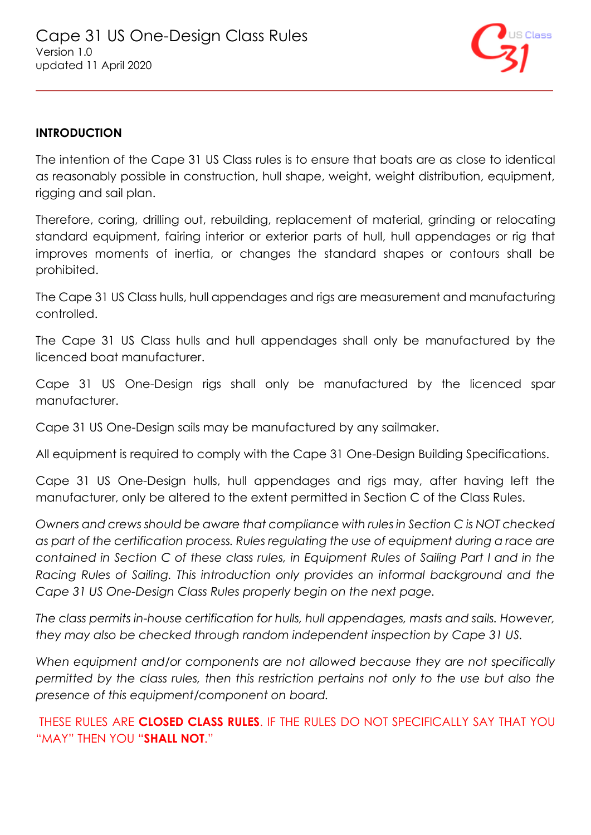

#### **INTRODUCTION**

The intention of the Cape 31 US Class rules is to ensure that boats are as close to identical as reasonably possible in construction, hull shape, weight, weight distribution, equipment, rigging and sail plan.

Therefore, coring, drilling out, rebuilding, replacement of material, grinding or relocating standard equipment, fairing interior or exterior parts of hull, hull appendages or rig that improves moments of inertia, or changes the standard shapes or contours shall be prohibited.

The Cape 31 US Class hulls, hull appendages and rigs are measurement and manufacturing controlled.

The Cape 31 US Class hulls and hull appendages shall only be manufactured by the licenced boat manufacturer.

Cape 31 US One-Design rigs shall only be manufactured by the licenced spar manufacturer.

Cape 31 US One-Design sails may be manufactured by any sailmaker.

All equipment is required to comply with the Cape 31 One-Design Building Specifications.

Cape 31 US One-Design hulls, hull appendages and rigs may, after having left the manufacturer, only be altered to the extent permitted in Section C of the Class Rules.

*Owners and crews should be aware that compliance with rules in Section C is NOT checked as part of the certification process. Rules regulating the use of equipment during a race are contained in Section C of these class rules, in Equipment Rules of Sailing Part I and in the Racing Rules of Sailing. This introduction only provides an informal background and the Cape 31 US One-Design Class Rules properly begin on the next page.* 

*The class permits in-house certification for hulls, hull appendages, masts and sails. However, they may also be checked through random independent inspection by Cape 31 US.* 

*When equipment and/or components are not allowed because they are not specifically permitted by the class rules, then this restriction pertains not only to the use but also the presence of this equipment/component on board.*

THESE RULES ARE **CLOSED CLASS RULES**. IF THE RULES DO NOT SPECIFICALLY SAY THAT YOU "MAY" THEN YOU "**SHALL NOT**."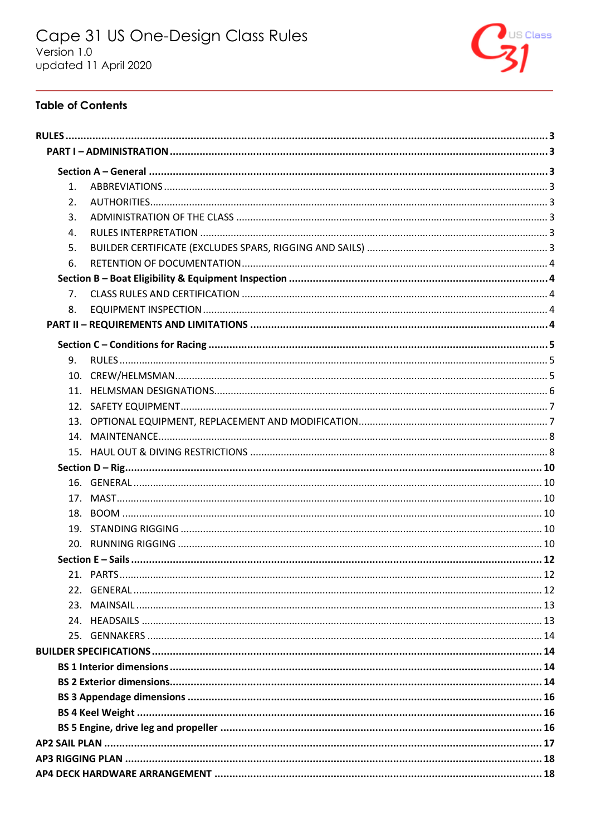

### **Table of Contents**

| 1.             |  |
|----------------|--|
| 2.             |  |
| 3.             |  |
| $\mathbf{4}$ . |  |
| 5.             |  |
| 6.             |  |
|                |  |
| 7 <sub>1</sub> |  |
| 8.             |  |
|                |  |
|                |  |
| 9.             |  |
|                |  |
|                |  |
|                |  |
|                |  |
|                |  |
|                |  |
|                |  |
|                |  |
|                |  |
|                |  |
|                |  |
|                |  |
|                |  |
|                |  |
|                |  |
|                |  |
|                |  |
|                |  |
|                |  |
|                |  |
|                |  |
|                |  |
|                |  |
|                |  |
|                |  |
|                |  |
|                |  |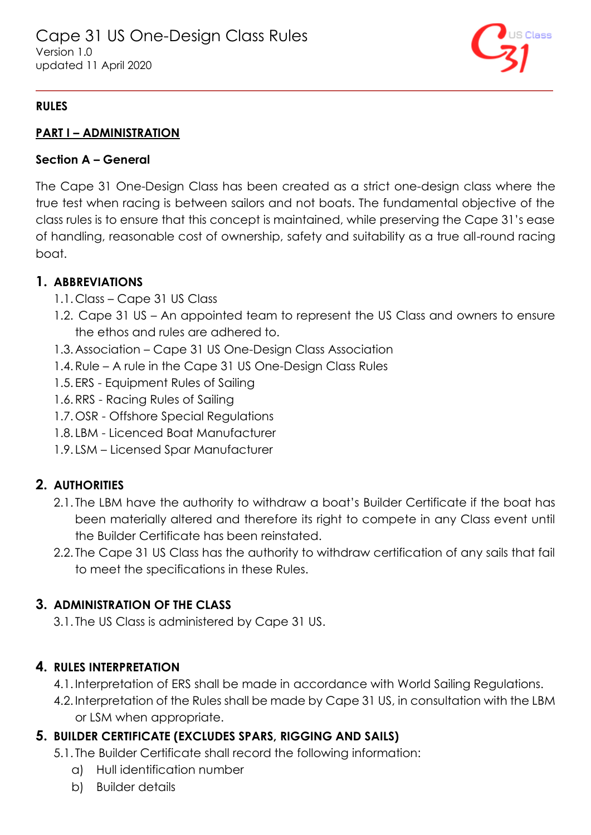

### <span id="page-2-0"></span>**RULES**

### <span id="page-2-1"></span>**PART I – ADMINISTRATION**

#### <span id="page-2-2"></span>**Section A – General**

The Cape 31 One-Design Class has been created as a strict one-design class where the true test when racing is between sailors and not boats. The fundamental objective of the class rules is to ensure that this concept is maintained, while preserving the Cape 31's ease of handling, reasonable cost of ownership, safety and suitability as a true all-round racing boat.

### <span id="page-2-3"></span>**1. ABBREVIATIONS**

- 1.1. Class Cape 31 US Class
- 1.2. Cape 31 US An appointed team to represent the US Class and owners to ensure the ethos and rules are adhered to.
- 1.3.Association Cape 31 US One-Design Class Association
- 1.4.Rule A rule in the Cape 31 US One-Design Class Rules
- 1.5. ERS Equipment Rules of Sailing
- 1.6.RRS Racing Rules of Sailing
- 1.7.OSR Offshore Special Regulations
- 1.8. LBM Licenced Boat Manufacturer
- 1.9. LSM Licensed Spar Manufacturer

## <span id="page-2-4"></span>**2. AUTHORITIES**

- 2.1. The LBM have the authority to withdraw a boat's Builder Certificate if the boat has been materially altered and therefore its right to compete in any Class event until the Builder Certificate has been reinstated.
- 2.2. The Cape 31 US Class has the authority to withdraw certification of any sails that fail to meet the specifications in these Rules.

## <span id="page-2-5"></span>**3. ADMINISTRATION OF THE CLASS**

3.1. The US Class is administered by Cape 31 US.

## <span id="page-2-6"></span>**4. RULES INTERPRETATION**

- 4.1. Interpretation of ERS shall be made in accordance with World Sailing Regulations.
- 4.2. Interpretation of the Rules shall be made by Cape 31 US, in consultation with the LBM or LSM when appropriate.

## <span id="page-2-7"></span>**5. BUILDER CERTIFICATE (EXCLUDES SPARS, RIGGING AND SAILS)**

- 5.1. The Builder Certificate shall record the following information:
	- a) Hull identification number
	- b) Builder details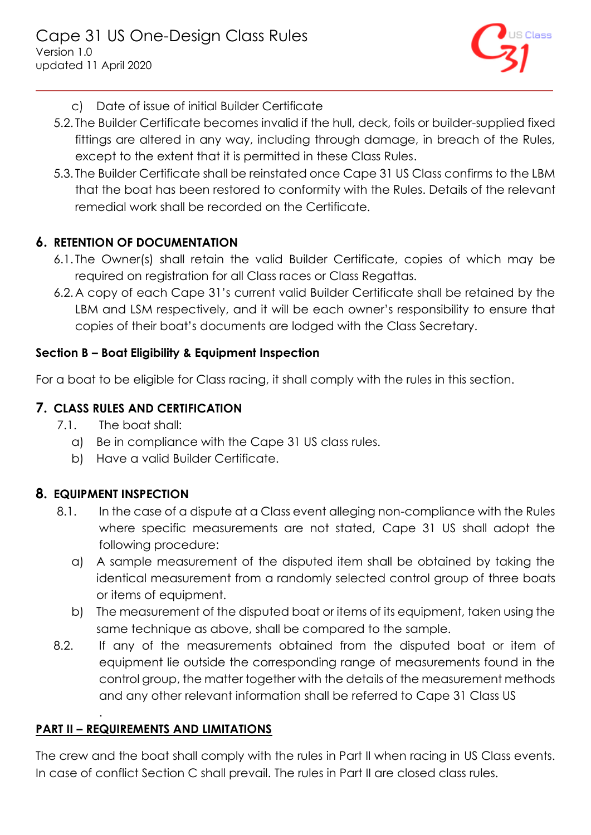

- c) Date of issue of initial Builder Certificate
- 5.2. The Builder Certificate becomes invalid if the hull, deck, foils or builder-supplied fixed fittings are altered in any way, including through damage, in breach of the Rules, except to the extent that it is permitted in these Class Rules.
- 5.3. The Builder Certificate shall be reinstated once Cape 31 US Class confirms to the LBM that the boat has been restored to conformity with the Rules. Details of the relevant remedial work shall be recorded on the Certificate.

## <span id="page-3-0"></span>**6. RETENTION OF DOCUMENTATION**

- 6.1. The Owner(s) shall retain the valid Builder Certificate, copies of which may be required on registration for all Class races or Class Regattas.
- 6.2.A copy of each Cape 31's current valid Builder Certificate shall be retained by the LBM and LSM respectively, and it will be each owner's responsibility to ensure that copies of their boat's documents are lodged with the Class Secretary.

#### <span id="page-3-1"></span>**Section B – Boat Eligibility & Equipment Inspection**

For a boat to be eligible for Class racing, it shall comply with the rules in this section.

### <span id="page-3-2"></span>**7. CLASS RULES AND CERTIFICATION**

- 7.1. The boat shall:
	- a) Be in compliance with the Cape 31 US class rules.
	- b) Have a valid Builder Certificate.

### <span id="page-3-3"></span>**8. EQUIPMENT INSPECTION**

.

- 8.1. In the case of a dispute at a Class event alleging non-compliance with the Rules where specific measurements are not stated, Cape 31 US shall adopt the following procedure:
	- a) A sample measurement of the disputed item shall be obtained by taking the identical measurement from a randomly selected control group of three boats or items of equipment.
	- b) The measurement of the disputed boat or items of its equipment, taken using the same technique as above, shall be compared to the sample.
- 8.2. If any of the measurements obtained from the disputed boat or item of equipment lie outside the corresponding range of measurements found in the control group, the matter together with the details of the measurement methods and any other relevant information shall be referred to Cape 31 Class US

## <span id="page-3-4"></span>**PART II – REQUIREMENTS AND LIMITATIONS**

The crew and the boat shall comply with the rules in Part II when racing in US Class events. In case of conflict Section C shall prevail. The rules in Part II are closed class rules.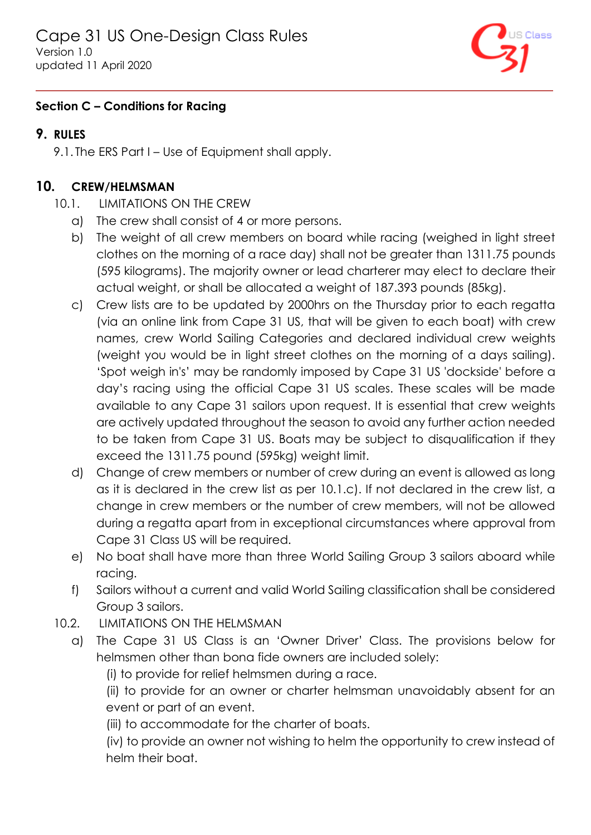

### <span id="page-4-0"></span>**Section C – Conditions for Racing**

### <span id="page-4-1"></span>**9. RULES**

9.1. The ERS Part I – Use of Equipment shall apply.

## <span id="page-4-2"></span>**10. CREW/HELMSMAN**

- <span id="page-4-3"></span>10.1. LIMITATIONS ON THE CREW
	- a) The crew shall consist of 4 or more persons.
	- b) The weight of all crew members on board while racing (weighed in light street clothes on the morning of a race day) shall not be greater than 1311.75 pounds (595 kilograms). The majority owner or lead charterer may elect to declare their actual weight, or shall be allocated a weight of 187.393 pounds (85kg).
	- c) Crew lists are to be updated by 2000hrs on the Thursday prior to each regatta (via an online link from Cape 31 US, that will be given to each boat) with crew names, crew World Sailing Categories and declared individual crew weights (weight you would be in light street clothes on the morning of a days sailing). 'Spot weigh in's' may be randomly imposed by Cape 31 US 'dockside' before a day's racing using the official Cape 31 US scales. These scales will be made available to any Cape 31 sailors upon request. It is essential that crew weights are actively updated throughout the season to avoid any further action needed to be taken from Cape 31 US. Boats may be subject to disqualification if they exceed the 1311.75 pound (595kg) weight limit.
	- d) Change of crew members or number of crew during an event is allowed as long as it is declared in the crew list as per [10.1.c\).](#page-4-3) If not declared in the crew list, a change in crew members or the number of crew members, will not be allowed during a regatta apart from in exceptional circumstances where approval from Cape 31 Class US will be required.
	- e) No boat shall have more than three World Sailing Group 3 sailors aboard while racing.
	- f) Sailors without a current and valid World Sailing classification shall be considered Group 3 sailors.
- 10.2. LIMITATIONS ON THE HELMSMAN
	- a) The Cape 31 US Class is an 'Owner Driver' Class. The provisions below for helmsmen other than bona fide owners are included solely:

(i) to provide for relief helmsmen during a race.

(ii) to provide for an owner or charter helmsman unavoidably absent for an event or part of an event.

(iii) to accommodate for the charter of boats.

(iv) to provide an owner not wishing to helm the opportunity to crew instead of helm their boat.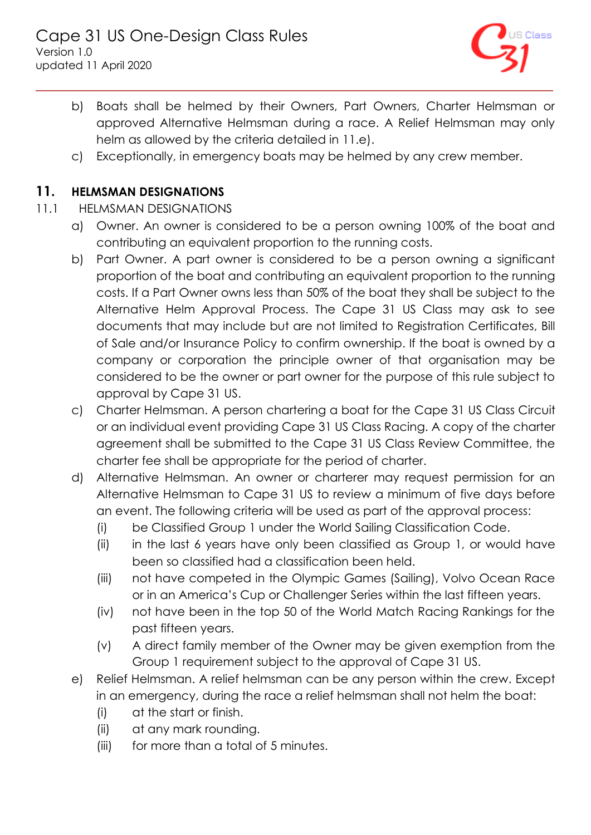

- b) Boats shall be helmed by their Owners, Part Owners, Charter Helmsman or approved Alternative Helmsman during a race. A Relief Helmsman may only helm as allowed by the criteria detailed in [11.e\).](#page-5-1)
- c) Exceptionally, in emergency boats may be helmed by any crew member.

### <span id="page-5-0"></span>**11. HELMSMAN DESIGNATIONS**

- <span id="page-5-1"></span>11.1 HELMSMAN DESIGNATIONS
	- a) Owner. An owner is considered to be a person owning 100% of the boat and contributing an equivalent proportion to the running costs.
	- b) Part Owner. A part owner is considered to be a person owning a significant proportion of the boat and contributing an equivalent proportion to the running costs. If a Part Owner owns less than 50% of the boat they shall be subject to the Alternative Helm Approval Process. The Cape 31 US Class may ask to see documents that may include but are not limited to Registration Certificates, Bill of Sale and/or Insurance Policy to confirm ownership. If the boat is owned by a company or corporation the principle owner of that organisation may be considered to be the owner or part owner for the purpose of this rule subject to approval by Cape 31 US.
	- c) Charter Helmsman. A person chartering a boat for the Cape 31 US Class Circuit or an individual event providing Cape 31 US Class Racing. A copy of the charter agreement shall be submitted to the Cape 31 US Class Review Committee, the charter fee shall be appropriate for the period of charter.
	- d) Alternative Helmsman. An owner or charterer may request permission for an Alternative Helmsman to Cape 31 US to review a minimum of five days before an event. The following criteria will be used as part of the approval process:
		- (i) be Classified Group 1 under the World Sailing Classification Code.
		- (ii) in the last 6 years have only been classified as Group 1, or would have been so classified had a classification been held.
		- (iii) not have competed in the Olympic Games (Sailing), Volvo Ocean Race or in an America's Cup or Challenger Series within the last fifteen years.
		- (iv) not have been in the top 50 of the World Match Racing Rankings for the past fifteen years.
		- (v) A direct family member of the Owner may be given exemption from the Group 1 requirement subject to the approval of Cape 31 US.
	- e) Relief Helmsman. A relief helmsman can be any person within the crew. Except in an emergency, during the race a relief helmsman shall not helm the boat:
		- (i) at the start or finish.
		- (ii) at any mark rounding.
		- (iii) for more than a total of 5 minutes.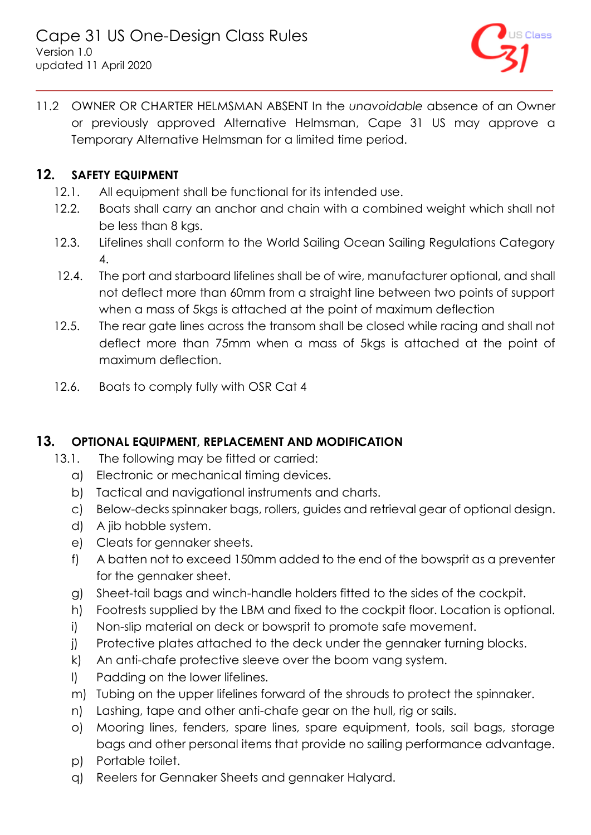

11.2 OWNER OR CHARTER HELMSMAN ABSENT In the *unavoidable* absence of an Owner or previously approved Alternative Helmsman, Cape 31 US may approve a Temporary Alternative Helmsman for a limited time period.

## <span id="page-6-0"></span>**12. SAFETY EQUIPMENT**

- 12.1. All equipment shall be functional for its intended use.
- 12.2. Boats shall carry an anchor and chain with a combined weight which shall not be less than 8 kgs.
- 12.3. Lifelines shall conform to the World Sailing Ocean Sailing Regulations Category 4.
- 12.4. The port and starboard lifelines shall be of wire, manufacturer optional, and shall not deflect more than 60mm from a straight line between two points of support when a mass of 5kgs is attached at the point of maximum deflection
- 12.5. The rear gate lines across the transom shall be closed while racing and shall not deflect more than 75mm when a mass of 5kgs is attached at the point of maximum deflection.
- 12.6. Boats to comply fully with OSR Cat 4

## <span id="page-6-1"></span>**13. OPTIONAL EQUIPMENT, REPLACEMENT AND MODIFICATION**

- 13.1. The following may be fitted or carried:
	- a) Electronic or mechanical timing devices.
	- b) Tactical and navigational instruments and charts.
	- c) Below-decks spinnaker bags, rollers, guides and retrieval gear of optional design.
	- d) A jib hobble system.
	- e) Cleats for gennaker sheets.
	- f) A batten not to exceed 150mm added to the end of the bowsprit as a preventer for the gennaker sheet.
	- g) Sheet-tail bags and winch-handle holders fitted to the sides of the cockpit.
	- h) Footrests supplied by the LBM and fixed to the cockpit floor. Location is optional.
	- i) Non-slip material on deck or bowsprit to promote safe movement.
	- j) Protective plates attached to the deck under the gennaker turning blocks.
	- k) An anti-chafe protective sleeve over the boom vang system.
	- l) Padding on the lower lifelines.
	- m) Tubing on the upper lifelines forward of the shrouds to protect the spinnaker.
	- n) Lashing, tape and other anti-chafe gear on the hull, rig or sails.
	- o) Mooring lines, fenders, spare lines, spare equipment, tools, sail bags, storage bags and other personal items that provide no sailing performance advantage.
	- p) Portable toilet.
	- q) Reelers for Gennaker Sheets and gennaker Halyard.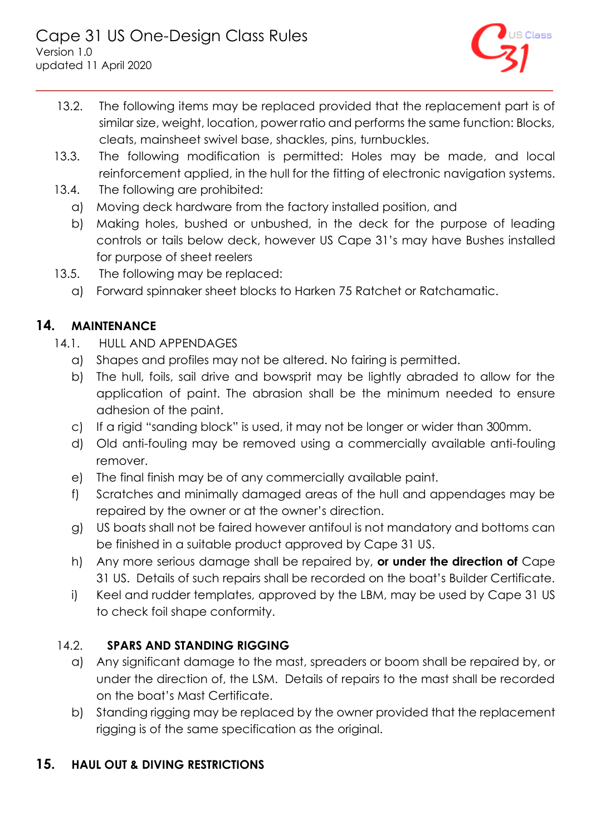

- 13.2. The following items may be replaced provided that the replacement part is of similar size, weight, location, power ratio and performs the same function: Blocks, cleats, mainsheet swivel base, shackles, pins, turnbuckles.
- 13.3. The following modification is permitted: Holes may be made, and local reinforcement applied, in the hull for the fitting of electronic navigation systems.
- 13.4. The following are prohibited:
	- a) Moving deck hardware from the factory installed position, and
	- b) Making holes, bushed or unbushed, in the deck for the purpose of leading controls or tails below deck, however US Cape 31's may have Bushes installed for purpose of sheet reelers
- 13.5. The following may be replaced:
	- a) Forward spinnaker sheet blocks to Harken 75 Ratchet or Ratchamatic.

# <span id="page-7-0"></span>**14. MAINTENANCE**

- 14.1. HULL AND APPENDAGES
	- a) Shapes and profiles may not be altered. No fairing is permitted.
	- b) The hull, foils, sail drive and bowsprit may be lightly abraded to allow for the application of paint. The abrasion shall be the minimum needed to ensure adhesion of the paint.
	- c) If a rigid "sanding block" is used, it may not be longer or wider than 300mm.
	- d) Old anti-fouling may be removed using a commercially available anti-fouling remover.
	- e) The final finish may be of any commercially available paint.
	- f) Scratches and minimally damaged areas of the hull and appendages may be repaired by the owner or at the owner's direction.
	- g) US boats shall not be faired however antifoul is not mandatory and bottoms can be finished in a suitable product approved by Cape 31 US.
	- h) Any more serious damage shall be repaired by, **or under the direction of** Cape 31 US. Details of such repairs shall be recorded on the boat's Builder Certificate.
	- i) Keel and rudder templates, approved by the LBM, may be used by Cape 31 US to check foil shape conformity.

## 14.2. **SPARS AND STANDING RIGGING**

- a) Any significant damage to the mast, spreaders or boom shall be repaired by, or under the direction of, the LSM. Details of repairs to the mast shall be recorded on the boat's Mast Certificate.
- b) Standing rigging may be replaced by the owner provided that the replacement rigging is of the same specification as the original.

## <span id="page-7-1"></span>**15. HAUL OUT & DIVING RESTRICTIONS**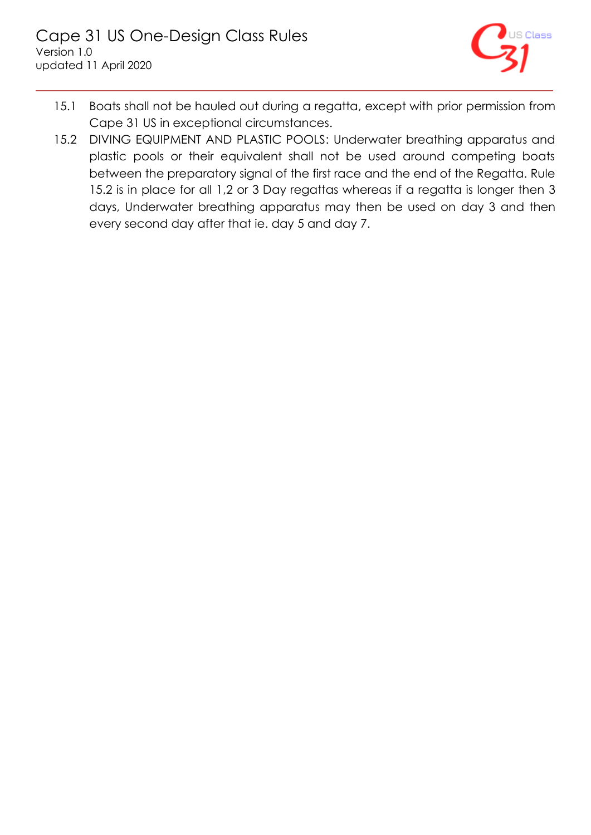

- 15.1 Boats shall not be hauled out during a regatta, except with prior permission from Cape 31 US in exceptional circumstances.
- 15.2 DIVING EQUIPMENT AND PLASTIC POOLS: Underwater breathing apparatus and plastic pools or their equivalent shall not be used around competing boats between the preparatory signal of the first race and the end of the Regatta. Rule 15.2 is in place for all 1,2 or 3 Day regattas whereas if a regatta is longer then 3 days, Underwater breathing apparatus may then be used on day 3 and then every second day after that ie. day 5 and day 7.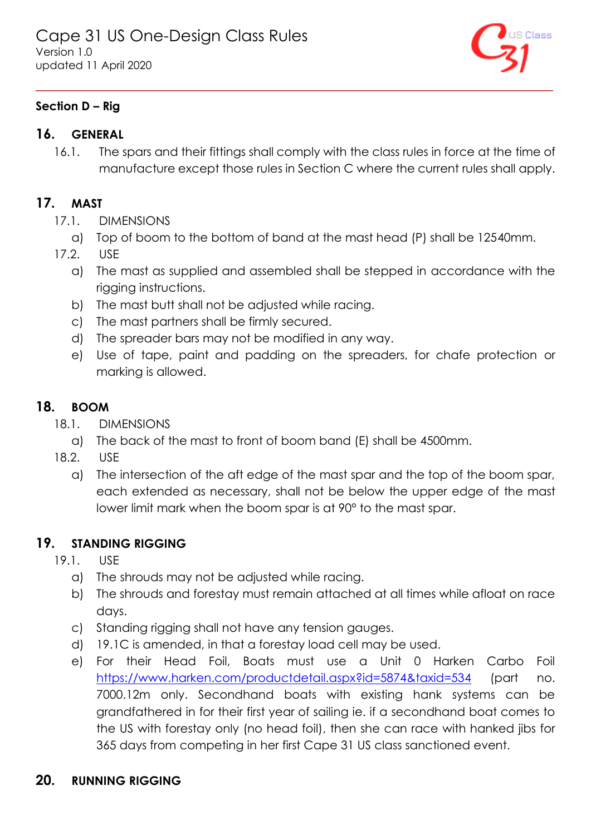

## <span id="page-9-0"></span>**Section D – Rig**

## <span id="page-9-1"></span>**16. GENERAL**

16.1. The spars and their fittings shall comply with the class rules in force at the time of manufacture except those rules in Section C where the current rules shall apply.

## <span id="page-9-2"></span>**17. MAST**

- 17.1. DIMENSIONS
	- a) Top of boom to the bottom of band at the mast head (P) shall be 12540mm.
- 17.2. USE
	- a) The mast as supplied and assembled shall be stepped in accordance with the rigging instructions.
	- b) The mast butt shall not be adjusted while racing.
	- c) The mast partners shall be firmly secured.
	- d) The spreader bars may not be modified in any way.
	- e) Use of tape, paint and padding on the spreaders, for chafe protection or marking is allowed.

## <span id="page-9-3"></span>**18. BOOM**

- 18.1. DIMENSIONS
	- a) The back of the mast to front of boom band (E) shall be 4500mm.
- 18.2. USE
	- a) The intersection of the aft edge of the mast spar and the top of the boom spar, each extended as necessary, shall not be below the upper edge of the mast lower limit mark when the boom spar is at 90° to the mast spar.

## <span id="page-9-4"></span>**19. STANDING RIGGING**

- 19.1. USE
	- a) The shrouds may not be adjusted while racing.
	- b) The shrouds and forestay must remain attached at all times while afloat on race days.
	- c) Standing rigging shall not have any tension gauges.
	- d) 19.1C is amended, in that a forestay load cell may be used.
	- e) For their Head Foil, Boats must use a Unit 0 Harken Carbo Foil <https://www.harken.com/productdetail.aspx?id=5874&taxid=534> (part no. 7000.12m only. Secondhand boats with existing hank systems can be grandfathered in for their first year of sailing ie. if a secondhand boat comes to the US with forestay only (no head foil), then she can race with hanked jibs for 365 days from competing in her first Cape 31 US class sanctioned event.

## <span id="page-9-5"></span>**20. RUNNING RIGGING**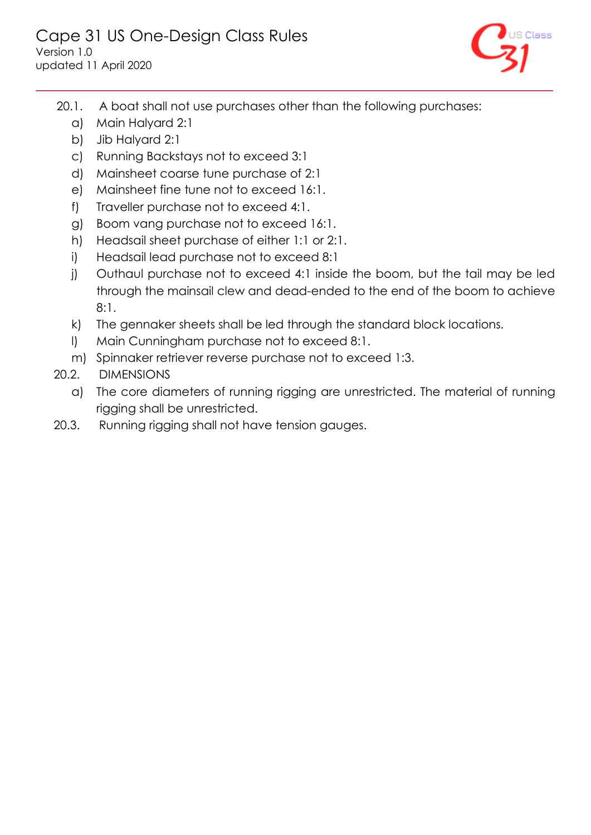

- 20.1. A boat shall not use purchases other than the following purchases:
	- a) Main Halyard 2:1
	- b) Jib Halyard 2:1
	- c) Running Backstays not to exceed 3:1
	- d) Mainsheet coarse tune purchase of 2:1
	- e) Mainsheet fine tune not to exceed 16:1.
	- f) Traveller purchase not to exceed 4:1.
	- g) Boom vang purchase not to exceed 16:1.
	- h) Headsail sheet purchase of either 1:1 or 2:1.
	- i) Headsail lead purchase not to exceed 8:1
	- j) Outhaul purchase not to exceed 4:1 inside the boom, but the tail may be led through the mainsail clew and dead-ended to the end of the boom to achieve 8:1.
	- k) The gennaker sheets shall be led through the standard block locations.
	- l) Main Cunningham purchase not to exceed 8:1.
	- m) Spinnaker retriever reverse purchase not to exceed 1:3.
- 20.2. DIMENSIONS
	- a) The core diameters of running rigging are unrestricted. The material of running rigging shall be unrestricted.
- 20.3. Running rigging shall not have tension gauges.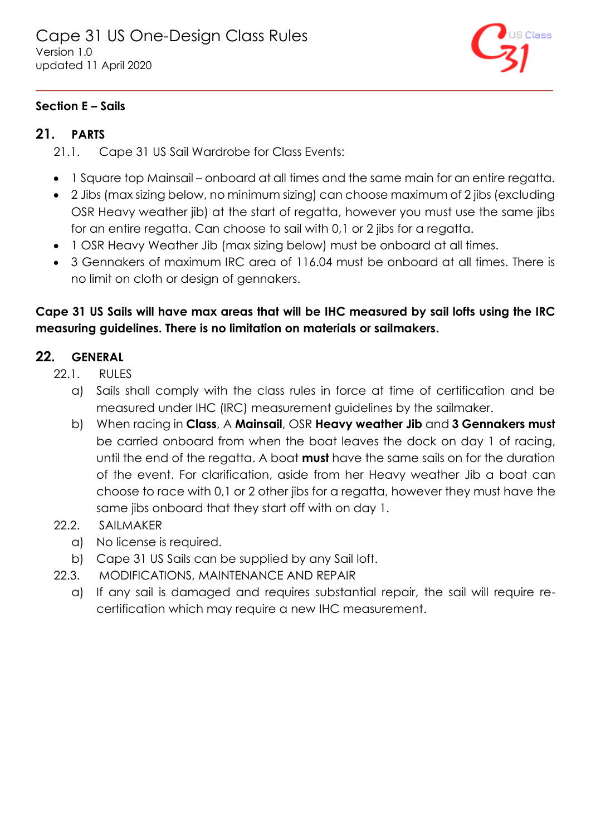

### <span id="page-11-0"></span>**Section E – Sails**

## <span id="page-11-1"></span>**21. PARTS**

- 21.1. Cape 31 US Sail Wardrobe for Class Events:
- 1 Square top Mainsail onboard at all times and the same main for an entire regatta.
- 2 Jibs (max sizing below, no minimum sizing) can choose maximum of 2 jibs (excluding OSR Heavy weather jib) at the start of regatta, however you must use the same jibs for an entire regatta. Can choose to sail with 0,1 or 2 jibs for a regatta.
- 1 OSR Heavy Weather Jib (max sizing below) must be onboard at all times.
- 3 Gennakers of maximum IRC area of 116.04 must be onboard at all times. There is no limit on cloth or design of gennakers.

## **Cape 31 US Sails will have max areas that will be IHC measured by sail lofts using the IRC measuring guidelines. There is no limitation on materials or sailmakers.**

## <span id="page-11-2"></span>**22. GENERAL**

- 22.1. RULES
	- a) Sails shall comply with the class rules in force at time of certification and be measured under IHC (IRC) measurement guidelines by the sailmaker.
	- b) When racing in **Class**, A **Mainsail**, OSR **Heavy weather Jib** and **3 Gennakers must** be carried onboard from when the boat leaves the dock on day 1 of racing, until the end of the regatta. A boat **must** have the same sails on for the duration of the event. For clarification, aside from her Heavy weather Jib a boat can choose to race with 0,1 or 2 other jibs for a regatta, however they must have the same jibs onboard that they start off with on day 1.
- 22.2. SAILMAKER
	- a) No license is required.
	- b) Cape 31 US Sails can be supplied by any Sail loft.
- 22.3. MODIFICATIONS, MAINTENANCE AND REPAIR
	- a) If any sail is damaged and requires substantial repair, the sail will require recertification which may require a new IHC measurement.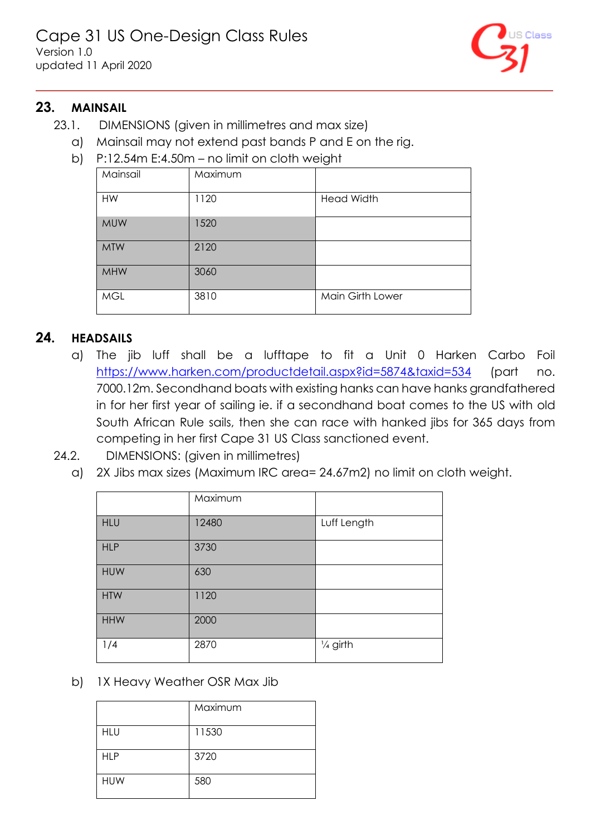

### <span id="page-12-0"></span>**23. MAINSAIL**

- 23.1. DIMENSIONS (given in millimetres and max size)
	- a) Mainsail may not extend past bands P and E on the rig.
	- b) P:12.54m E:4.50m no limit on cloth weight

| Mainsail   | Maximum |                   |
|------------|---------|-------------------|
| <b>HW</b>  | 1120    | <b>Head Width</b> |
| <b>MUW</b> | 1520    |                   |
| <b>MTW</b> | 2120    |                   |
| <b>MHW</b> | 3060    |                   |
| <b>MGL</b> | 3810    | Main Girth Lower  |

### <span id="page-12-1"></span>**24. HEADSAILS**

- a) The jib luff shall be a lufftape to fit a Unit 0 Harken Carbo Foil <https://www.harken.com/productdetail.aspx?id=5874&taxid=534> (part no. 7000.12m. Secondhand boats with existing hanks can have hanks grandfathered in for her first year of sailing ie. if a secondhand boat comes to the US with old South African Rule sails, then she can race with hanked jibs for 365 days from competing in her first Cape 31 US Class sanctioned event.
- 24.2. DIMENSIONS: (given in millimetres)
	- a) 2X Jibs max sizes (Maximum IRC area= 24.67m2) no limit on cloth weight.

|            | Maximum |                     |
|------------|---------|---------------------|
| <b>HLU</b> | 12480   | Luff Length         |
| <b>HLP</b> | 3730    |                     |
| <b>HUW</b> | 630     |                     |
| <b>HTW</b> | 1120    |                     |
| <b>HHW</b> | 2000    |                     |
| 1/4        | 2870    | $\frac{1}{4}$ girth |

b) 1X Heavy Weather OSR Max Jib

|            | Maximum |
|------------|---------|
| <b>HLU</b> | 11530   |
| <b>HLP</b> | 3720    |
| <b>HUW</b> | 580     |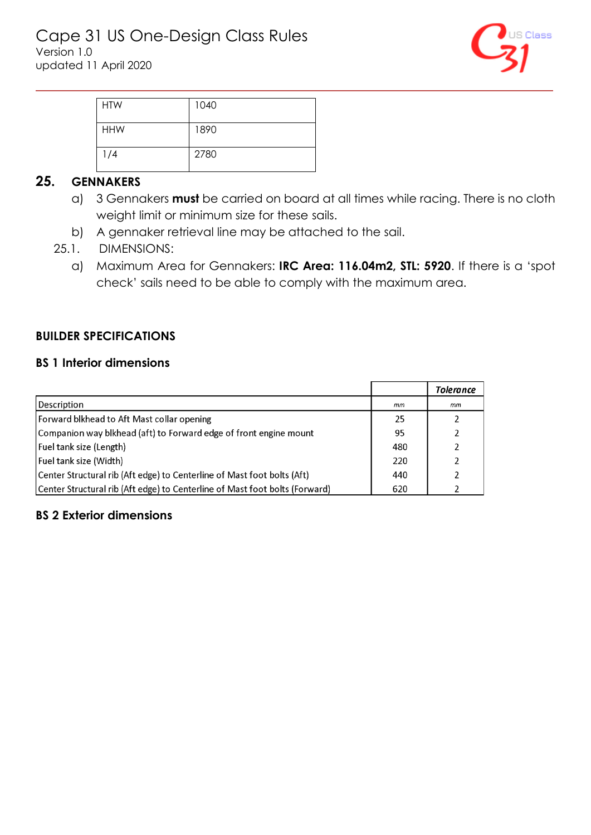

| <b>HTW</b> | 1040 |
|------------|------|
|            |      |
| <b>HHW</b> | 1890 |
|            |      |
| 1/4        | 2780 |
|            |      |

## <span id="page-13-0"></span>**25. GENNAKERS**

- a) 3 Gennakers **must** be carried on board at all times while racing. There is no cloth weight limit or minimum size for these sails.
- b) A gennaker retrieval line may be attached to the sail.
- 25.1. DIMENSIONS:
	- a) Maximum Area for Gennakers: **IRC Area: 116.04m2, STL: 5920**. If there is a 'spot check' sails need to be able to comply with the maximum area.

### <span id="page-13-1"></span>**BUILDER SPECIFICATIONS**

#### <span id="page-13-2"></span>**BS 1 Interior dimensions**

|                                                                             |     | Tolerance |
|-----------------------------------------------------------------------------|-----|-----------|
| Description                                                                 | mm  | mm        |
| Forward blkhead to Aft Mast collar opening                                  | 25  |           |
| Companion way blkhead (aft) to Forward edge of front engine mount           | 95  |           |
| Fuel tank size (Length)                                                     | 480 |           |
| Fuel tank size (Width)                                                      | 220 |           |
| Center Structural rib (Aft edge) to Centerline of Mast foot bolts (Aft)     | 440 |           |
| Center Structural rib (Aft edge) to Centerline of Mast foot bolts (Forward) | 620 |           |

### <span id="page-13-3"></span>**BS 2 Exterior dimensions**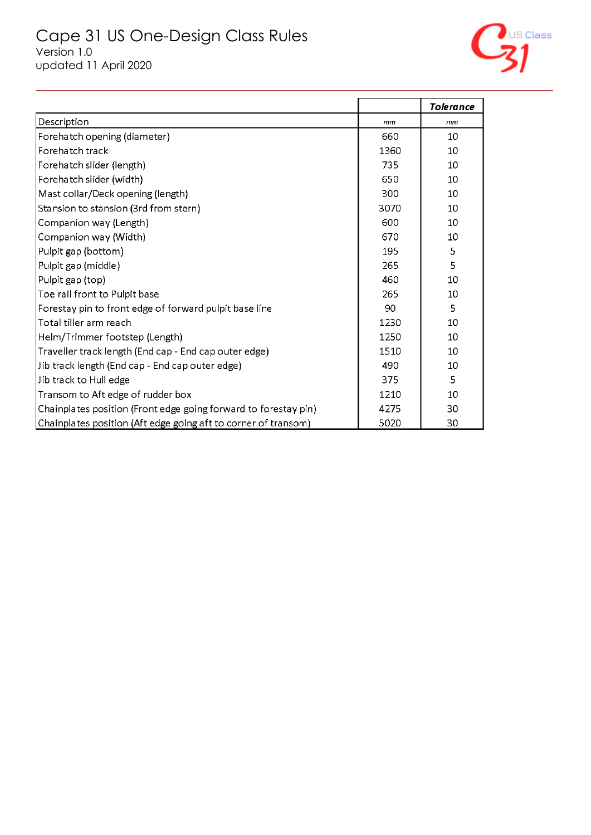

|                                                                 |      | Tolerance |
|-----------------------------------------------------------------|------|-----------|
| Description                                                     | mm   | mm        |
| Forehatch opening (diameter)                                    | 660  | 10        |
| Forehatch track                                                 | 1360 | 10        |
| Forehatch slider (length)                                       | 735  | 10        |
| Forehatch slider (width)                                        | 650  | 10        |
| Mast collar/Deck opening (length)                               | 300  | 10        |
| Stansion to stansion (3rd from stern)                           | 3070 | 10        |
| Companion way (Length)                                          | 600  | 10        |
| Companion way (Width)                                           | 670  | 10        |
| Pulpit gap (bottom)                                             | 195  | 5         |
| Pulpit gap (middle)                                             | 265  | 5         |
| Pulpit gap (top)                                                | 460  | 10        |
| Toe rail front to Pulpit base                                   | 265  | 10        |
| Forestay pin to front edge of forward pulpit base line          | 90   | 5         |
| Total tiller arm reach                                          | 1230 | 10        |
| Helm/Trimmer footstep (Length)                                  | 1250 | 10        |
| Traveller track length (End cap - End cap outer edge)           | 1510 | 10        |
| Jib track length (End cap - End cap outer edge)                 | 490  | 10        |
| Jib track to Hull edge                                          | 375  | 5         |
| Transom to Aft edge of rudder box                               | 1210 | 10        |
| Chainplates position (Front edge going forward to forestay pin) | 4275 | 30        |
| Chainplates position (Aft edge going aft to corner of transom)  | 5020 | 30        |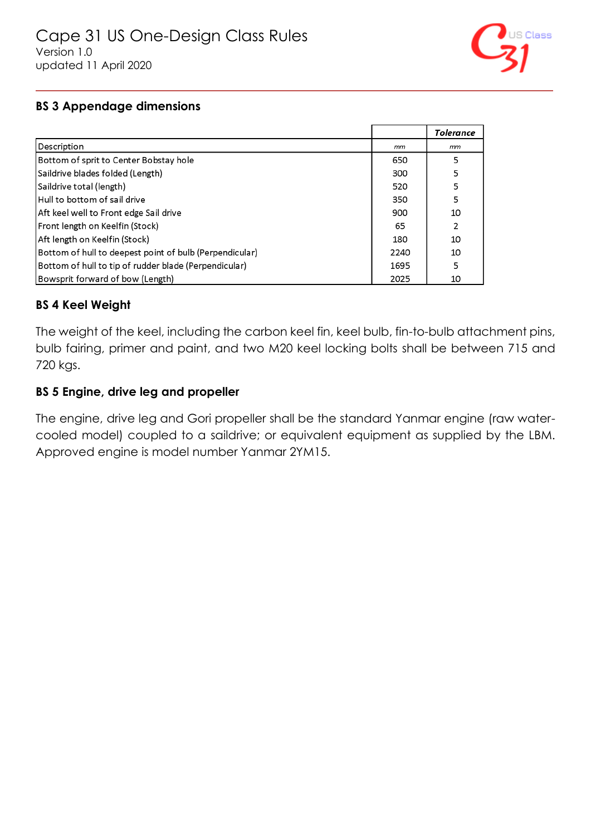

#### <span id="page-15-0"></span>**BS 3 Appendage dimensions**

|                                                         |      | <b>Tolerance</b> |
|---------------------------------------------------------|------|------------------|
| Description                                             | mm   | mm               |
| Bottom of sprit to Center Bobstay hole                  | 650  | 5                |
| Saildrive blades folded (Length)                        | 300  | 5                |
| Saildrive total (length)                                | 520  | 5                |
| Hull to bottom of sail drive                            | 350  | 5                |
| Aft keel well to Front edge Sail drive                  | 900  | 10               |
| Front length on Keelfin (Stock)                         | 65   | 2                |
| Aft length on Keelfin (Stock)                           | 180  | 10               |
| Bottom of hull to deepest point of bulb (Perpendicular) | 2240 | 10               |
| Bottom of hull to tip of rudder blade (Perpendicular)   | 1695 | 5                |
| Bowsprit forward of bow (Length)                        | 2025 | 10               |

### <span id="page-15-1"></span>**BS 4 Keel Weight**

The weight of the keel, including the carbon keel fin, keel bulb, fin-to-bulb attachment pins, bulb fairing, primer and paint, and two M20 keel locking bolts shall be between 715 and 720 kgs.

#### <span id="page-15-2"></span>**BS 5 Engine, drive leg and propeller**

The engine, drive leg and Gori propeller shall be the standard Yanmar engine (raw watercooled model) coupled to a saildrive; or equivalent equipment as supplied by the LBM. Approved engine is model number Yanmar 2YM15.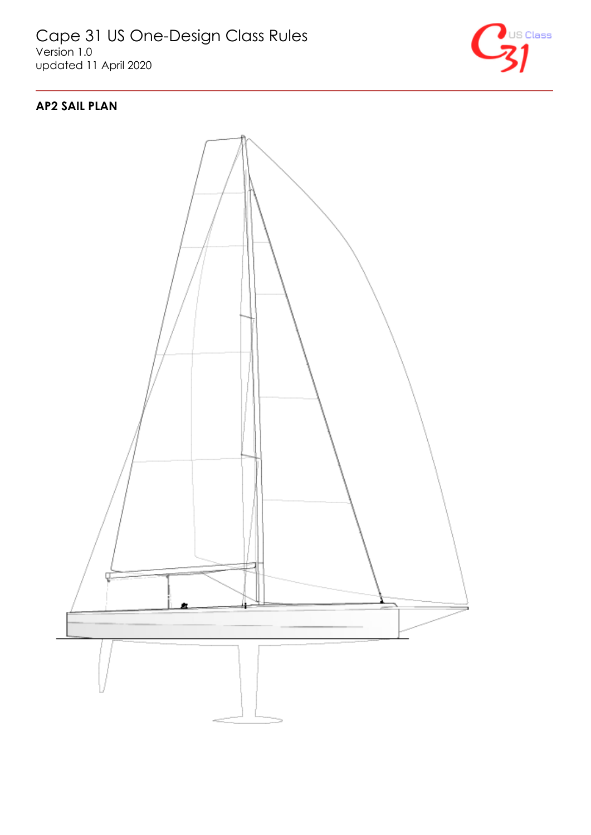

## <span id="page-16-0"></span>**AP2 SAIL PLAN**